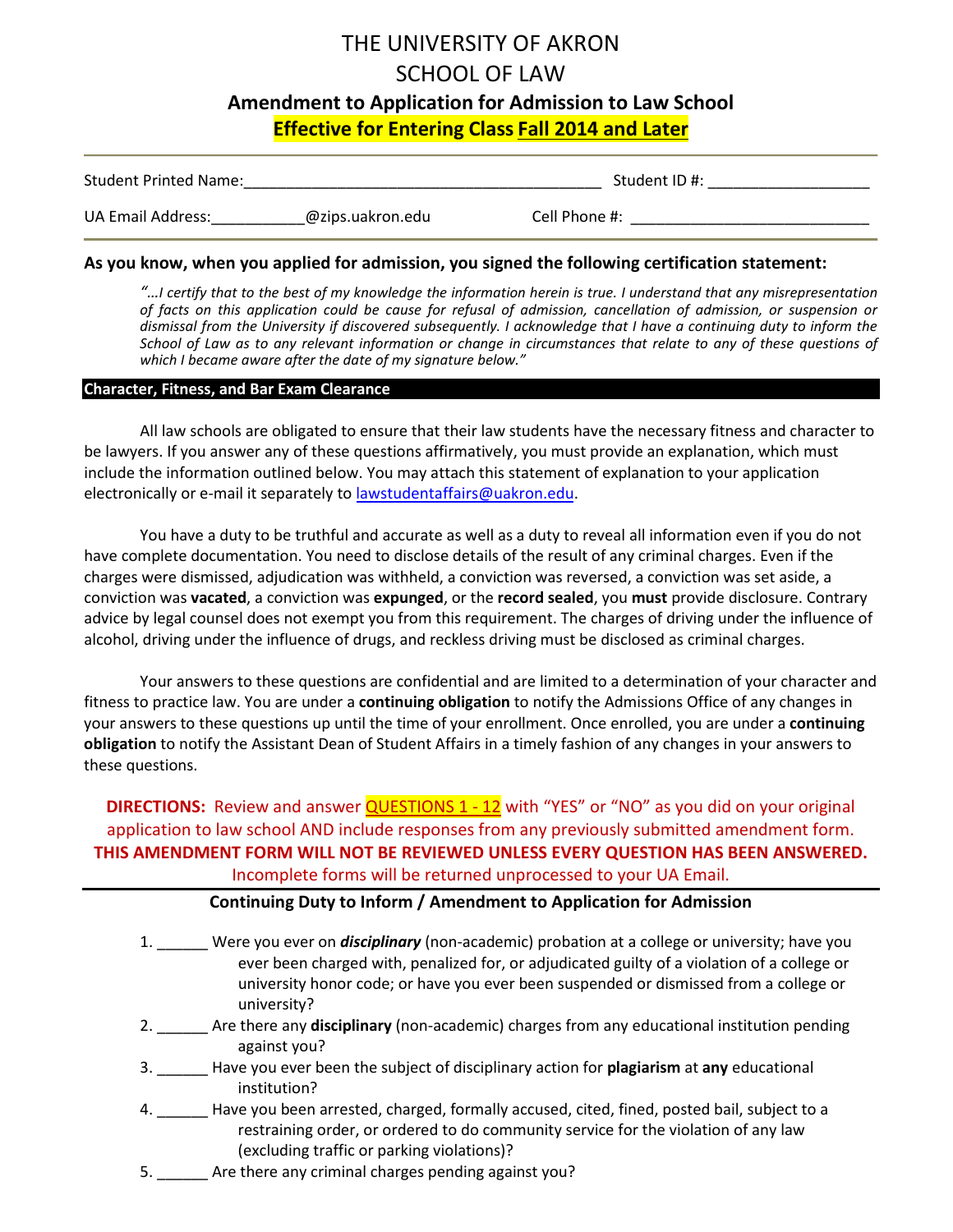# THE UNIVERSITY OF AKRON SCHOOL OF LAW **Amendment to Application for Admission to Law School Effective for Entering Class Fall 2014 and Later**

| <b>Student Printed Name:</b> |                  | Student ID #: |  |
|------------------------------|------------------|---------------|--|
| UA Email Address:            | @zips.uakron.edu | Cell Phone #: |  |

#### **As you know, when you applied for admission, you signed the following certification statement:**

*"…I certify that to the best of my knowledge the information herein is true. I understand that any misrepresentation of facts on this application could be cause for refusal of admission, cancellation of admission, or suspension or dismissal from the University if discovered subsequently. I acknowledge that I have a continuing duty to inform the*  School of Law as to any relevant information or change in circumstances that relate to any of these questions of *which I became aware after the date of my signature below."*

#### **Character, Fitness, and Bar Exam Clearance**

All law schools are obligated to ensure that their law students have the necessary fitness and character to be lawyers. If you answer any of these questions affirmatively, you must provide an explanation, which must include the information outlined below. You may attach this statement of explanation to your application electronically or e-mail it separately to lawstudentaffairs@uakron.edu.

You have a duty to be truthful and accurate as well as a duty to reveal all information even if you do not have complete documentation. You need to disclose details of the result of any criminal charges. Even if the charges were dismissed, adjudication was withheld, a conviction was reversed, a conviction was set aside, a conviction was **vacated**, a conviction was **expunged**, or the **record sealed**, you **must** provide disclosure. Contrary advice by legal counsel does not exempt you from this requirement. The charges of driving under the influence of alcohol, driving under the influence of drugs, and reckless driving must be disclosed as criminal charges.

Your answers to these questions are confidential and are limited to a determination of your character and fitness to practice law. You are under a **continuing obligation** to notify the Admissions Office of any changes in your answers to these questions up until the time of your enrollment. Once enrolled, you are under a **continuing obligation** to notify the Assistant Dean of Student Affairs in a timely fashion of any changes in your answers to these questions.

**DIRECTIONS:** Review and answer **QUESTIONS 1 - 12** with "YES" or "NO" as you did on your original application to law school AND include responses from any previously submitted amendment form. **THIS AMENDMENT FORM WILL NOT BE REVIEWED UNLESS EVERY QUESTION HAS BEEN ANSWERED.** Incomplete forms will be returned unprocessed to your UA Email.

#### **Continuing Duty to Inform / Amendment to Application for Admission**

- 1. \_\_\_\_\_\_ Were you ever on *disciplinary* (non-academic) probation at a college or university; have you ever been charged with, penalized for, or adjudicated guilty of a violation of a college or university honor code; or have you ever been suspended or dismissed from a college or university?
- 2. \_\_\_\_\_\_ Are there any **disciplinary** (non-academic) charges from any educational institution pending against you?
- 3. \_\_\_\_\_\_ Have you ever been the subject of disciplinary action for **plagiarism** at **any** educational institution?
- 4. \_\_\_\_\_\_ Have you been arrested, charged, formally accused, cited, fined, posted bail, subject to a restraining order, or ordered to do community service for the violation of any law (excluding traffic or parking violations)?
- 5. \_\_\_\_\_\_ Are there any criminal charges pending against you?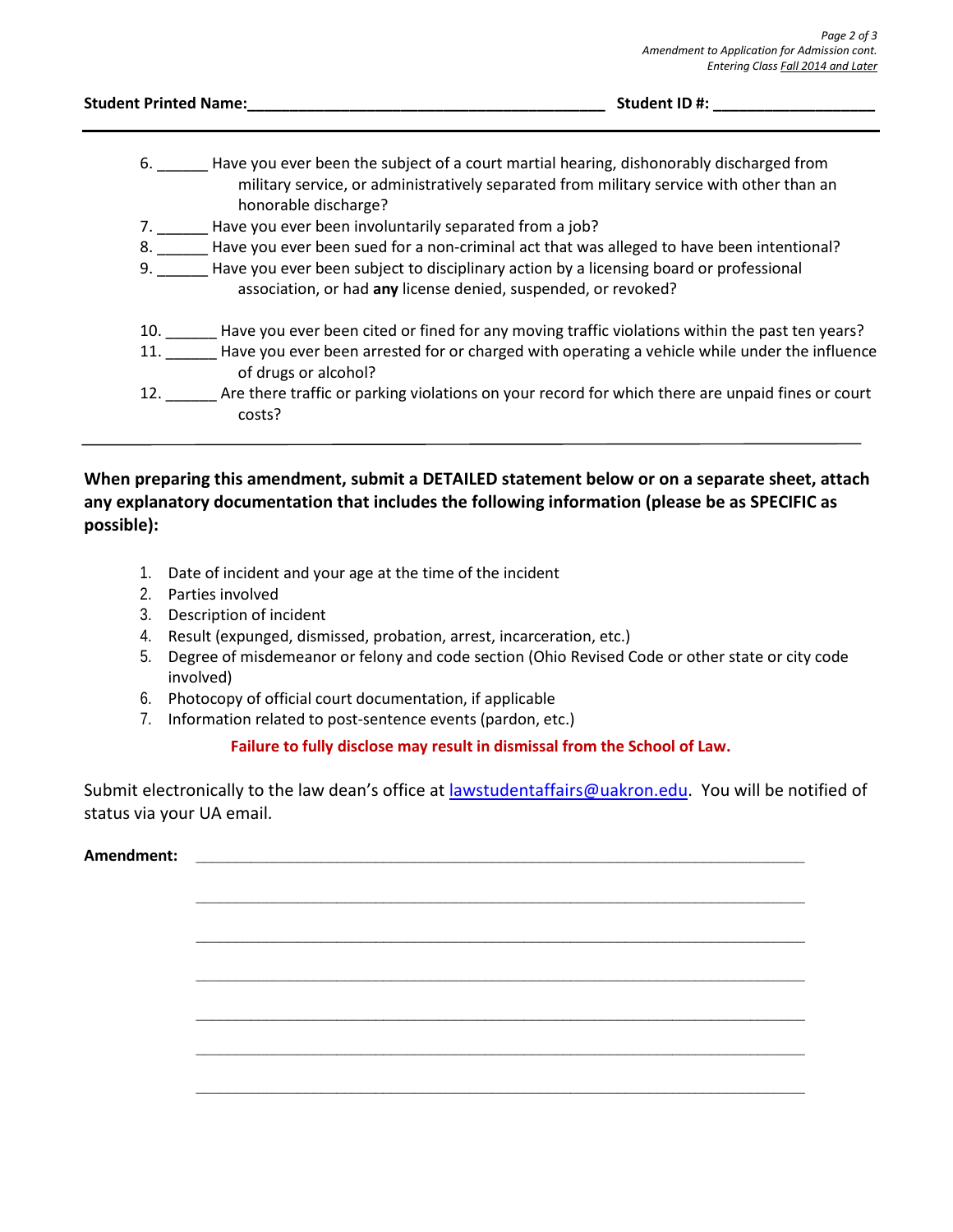| <b>Student Printed Name:</b> |                                                                | Student ID#:                                                                                                                                                                           |  |
|------------------------------|----------------------------------------------------------------|----------------------------------------------------------------------------------------------------------------------------------------------------------------------------------------|--|
|                              | honorable discharge?                                           | 6. Have you ever been the subject of a court martial hearing, dishonorably discharged from<br>military service, or administratively separated from military service with other than an |  |
| 7.                           | Have you ever been involuntarily separated from a job?         |                                                                                                                                                                                        |  |
| 8.                           |                                                                | Have you ever been sued for a non-criminal act that was alleged to have been intentional?                                                                                              |  |
| 9.                           | association, or had any license denied, suspended, or revoked? | Have you ever been subject to disciplinary action by a licensing board or professional                                                                                                 |  |
| 10.                          |                                                                | Have you ever been cited or fined for any moving traffic violations within the past ten years?                                                                                         |  |
| 11.                          | of drugs or alcohol?                                           | Have you ever been arrested for or charged with operating a vehicle while under the influence                                                                                          |  |
| 12.                          | costs?                                                         | Are there traffic or parking violations on your record for which there are unpaid fines or court                                                                                       |  |

### **When preparing this amendment, submit a DETAILED statement below or on a separate sheet, attach any explanatory documentation that includes the following information (please be as SPECIFIC as possible):**

- 1. Date of incident and your age at the time of the incident
- 2. Parties involved
- 3. Description of incident
- 4. Result (expunged, dismissed, probation, arrest, incarceration, etc.)
- 5. Degree of misdemeanor or felony and code section (Ohio Revised Code or other state or city code involved)
- 6. Photocopy of official court documentation, if applicable
- 7. Information related to post-sentence events (pardon, etc.)

# **Failure to fully disclose may result in dismissal from the School of Law.**

Submit electronically to the law dean's office at lawstudentaffairs[@uakron.edu. Y](mailto:lawstudentaffairs@uakron.edu)ou will be notified of status via your UA email.

**\_\_\_\_\_\_\_\_\_\_\_\_\_\_\_\_\_\_\_\_\_\_\_\_\_\_\_\_\_\_\_\_\_\_\_\_\_\_\_\_\_\_\_\_\_\_\_\_\_\_\_\_\_\_\_\_\_\_\_\_\_\_\_\_\_\_\_\_\_\_\_\_\_\_\_\_\_\_**

**\_\_\_\_\_\_\_\_\_\_\_\_\_\_\_\_\_\_\_\_\_\_\_\_\_\_\_\_\_\_\_\_\_\_\_\_\_\_\_\_\_\_\_\_\_\_\_\_\_\_\_\_\_\_\_\_\_\_\_\_\_\_\_\_\_\_\_\_\_\_\_\_\_\_\_\_\_\_**

**\_\_\_\_\_\_\_\_\_\_\_\_\_\_\_\_\_\_\_\_\_\_\_\_\_\_\_\_\_\_\_\_\_\_\_\_\_\_\_\_\_\_\_\_\_\_\_\_\_\_\_\_\_\_\_\_\_\_\_\_\_\_\_\_\_\_\_\_\_\_\_\_\_\_\_\_\_\_**

**\_\_\_\_\_\_\_\_\_\_\_\_\_\_\_\_\_\_\_\_\_\_\_\_\_\_\_\_\_\_\_\_\_\_\_\_\_\_\_\_\_\_\_\_\_\_\_\_\_\_\_\_\_\_\_\_\_\_\_\_\_\_\_\_\_\_\_\_\_\_\_\_\_\_\_\_\_\_**

**\_\_\_\_\_\_\_\_\_\_\_\_\_\_\_\_\_\_\_\_\_\_\_\_\_\_\_\_\_\_\_\_\_\_\_\_\_\_\_\_\_\_\_\_\_\_\_\_\_\_\_\_\_\_\_\_\_\_\_\_\_\_\_\_\_\_\_\_\_\_\_\_\_\_\_\_\_\_**

**\_\_\_\_\_\_\_\_\_\_\_\_\_\_\_\_\_\_\_\_\_\_\_\_\_\_\_\_\_\_\_\_\_\_\_\_\_\_\_\_\_\_\_\_\_\_\_\_\_\_\_\_\_\_\_\_\_\_\_\_\_\_\_\_\_\_\_\_\_\_\_\_\_\_\_\_\_\_**

## **Amendment: \_\_\_\_\_\_\_\_\_\_\_\_\_\_\_\_\_\_\_\_\_\_\_\_\_\_\_\_\_\_\_\_\_\_\_\_\_\_\_\_\_\_\_\_\_\_\_\_\_\_\_\_\_\_\_\_\_\_\_\_\_\_\_\_\_\_\_\_\_\_\_\_\_\_\_\_\_\_**